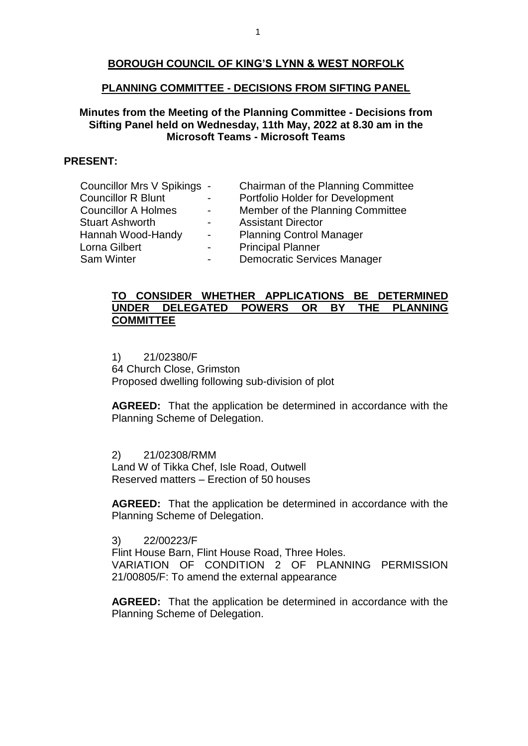# **BOROUGH COUNCIL OF KING'S LYNN & WEST NORFOLK**

#### **PLANNING COMMITTEE - DECISIONS FROM SIFTING PANEL**

# **Minutes from the Meeting of the Planning Committee - Decisions from Sifting Panel held on Wednesday, 11th May, 2022 at 8.30 am in the Microsoft Teams - Microsoft Teams**

# **PRESENT:**

| Councillor Mrs V Spikings - |                  | Chairman of the Planning Committee |
|-----------------------------|------------------|------------------------------------|
| <b>Councillor R Blunt</b>   |                  | Portfolio Holder for Development   |
| <b>Councillor A Holmes</b>  | $\sim$ 10 $\pm$  | Member of the Planning Committee   |
| <b>Stuart Ashworth</b>      | $\sim 100$       | <b>Assistant Director</b>          |
| Hannah Wood-Handy           | $\sim$ 10 $\pm$  | <b>Planning Control Manager</b>    |
| Lorna Gilbert               | $\sim 100$       | <b>Principal Planner</b>           |
| <b>Sam Winter</b>           | $\sim$ 100 $\mu$ | <b>Democratic Services Manager</b> |
|                             |                  |                                    |

#### **TO CONSIDER WHETHER APPLICATIONS BE DETERMINED UNDER DELEGATED POWERS OR BY THE PLANNING COMMITTEE**

1) 21/02380/F 64 Church Close, Grimston Proposed dwelling following sub-division of plot

**AGREED:** That the application be determined in accordance with the Planning Scheme of Delegation.

2) 21/02308/RMM Land W of Tikka Chef, Isle Road, Outwell Reserved matters – Erection of 50 houses

**AGREED:** That the application be determined in accordance with the Planning Scheme of Delegation.

3) 22/00223/F

Flint House Barn, Flint House Road, Three Holes. VARIATION OF CONDITION 2 OF PLANNING PERMISSION 21/00805/F: To amend the external appearance

**AGREED:** That the application be determined in accordance with the Planning Scheme of Delegation.